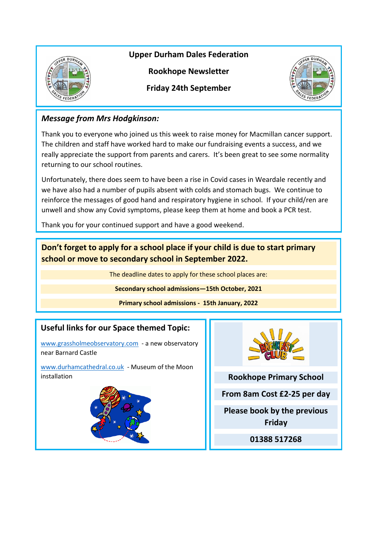

**Upper Durham Dales Federation**

**Rookhope Newsletter**

**Friday 24th September**



## *Message from Mrs Hodgkinson:*

Thank you to everyone who joined us this week to raise money for Macmillan cancer support. The children and staff have worked hard to make our fundraising events a success, and we really appreciate the support from parents and carers. It's been great to see some normality returning to our school routines.

Unfortunately, there does seem to have been a rise in Covid cases in Weardale recently and we have also had a number of pupils absent with colds and stomach bugs. We continue to reinforce the messages of good hand and respiratory hygiene in school. If your child/ren are unwell and show any Covid symptoms, please keep them at home and book a PCR test.

Thank you for your continued support and have a good weekend.

**Don't forget to apply for a school place if your child is due to start primary school or move to secondary school in September 2022.**

The deadline dates to apply for these school places are:

**Secondary school admissions—15th October, 2021**

**Primary school admissions - 15th January, 2022**

## **Useful links for our Space themed Topic:**

[www.grassholmeobservatory.com](http://www.grassholmeobservatory.com/) - a new observatory near Barnard Castle

[www.durhamcathedral.co.uk](http://www.durhamcathedral.co.uk/) - Museum of the Moon installation





**Rookhope Primary School**

**From 8am Cost £2-25 per day**

**Please book by the previous Friday**

**01388 517268**